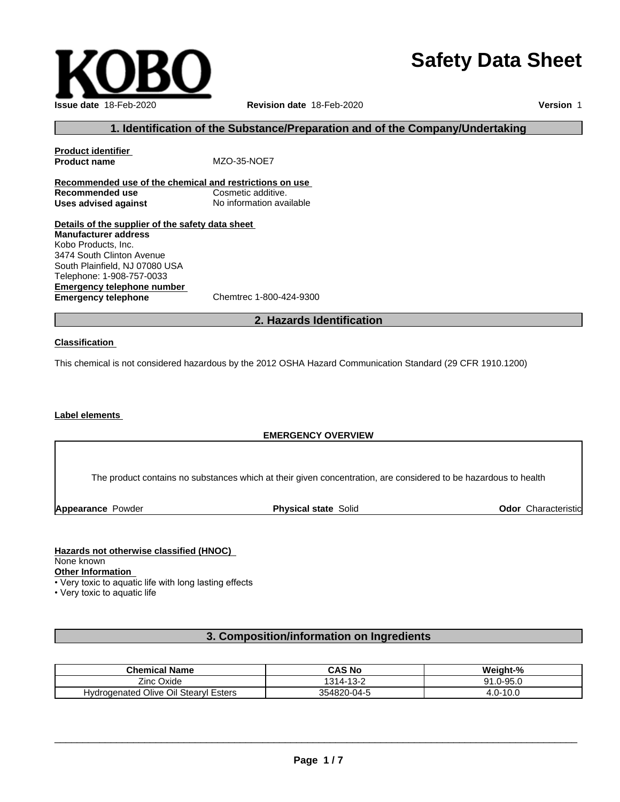# **Safety Data Sheet**



# **1. Identification of the Substance/Preparation and of the Company/Undertaking**

**Product identifier Product name** MZO-35-NOE7 **Recommended use of the chemical and restrictions on use Recommended use Cosmetic additive. Uses advised against** No information available

**Details of the supplier of the safety data sheet Emergency telephone number Emergency telephone** Chemtrec 1-800-424-9300 **Manufacturer address** Kobo Products, Inc. 3474 South Clinton Avenue South Plainfield, NJ 07080 USA Telephone: 1-908-757-0033

# **2. Hazards Identification**

### **Classification**

This chemical is not considered hazardous by the 2012 OSHA Hazard Communication Standard (29 CFR 1910.1200)

# **Label elements**

# **EMERGENCY OVERVIEW**

The product contains no substances which at their given concentration, are considered to be hazardous to health

**Appearance Powder <b>Physical state** Solid

**Odor** Characteristic

### **Hazards not otherwise classified (HNOC)**

None known

**Other Information**

• Very toxic to aquatic life with long lasting effects

• Very toxic to aquatic life

# **3. Composition/information on Ingredients**

| <b>Chemical Name</b>                             | <b>CAS No</b>                | Weiaht-%                      |
|--------------------------------------------------|------------------------------|-------------------------------|
| --<br>-<br>Zinc<br>Oxide                         | $\sqrt{2}$<br>$314-$<br>ے-د∟ | 0-95.0<br>Q1<br>- ۱۰۰         |
| Olive Oil<br>Stearvl<br>Hydrogenated<br>∣ Esters | 354820-04-5<br>. .           | $\sim$<br>10.U<br>. .<br>т. О |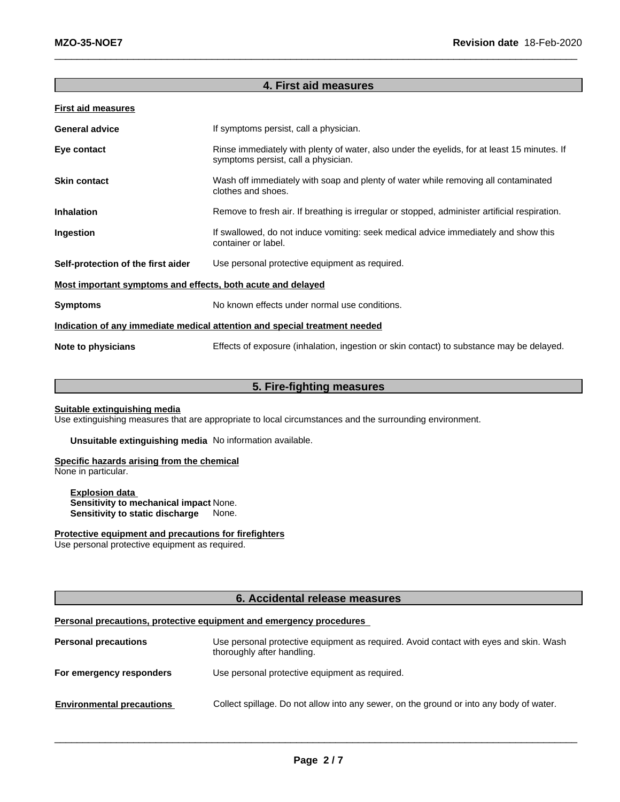# **4. First aid measures**

|--|--|

| If symptoms persist, call a physician.<br><b>General advice</b>                                                                                   |                                                                                                            |  |
|---------------------------------------------------------------------------------------------------------------------------------------------------|------------------------------------------------------------------------------------------------------------|--|
| Rinse immediately with plenty of water, also under the eyelids, for at least 15 minutes. If<br>Eye contact<br>symptoms persist, call a physician. |                                                                                                            |  |
| <b>Skin contact</b>                                                                                                                               | Wash off immediately with soap and plenty of water while removing all contaminated<br>clothes and shoes.   |  |
| <b>Inhalation</b>                                                                                                                                 | Remove to fresh air. If breathing is irregular or stopped, administer artificial respiration.              |  |
| Ingestion                                                                                                                                         | If swallowed, do not induce vomiting: seek medical advice immediately and show this<br>container or label. |  |
| Self-protection of the first aider                                                                                                                | Use personal protective equipment as required.                                                             |  |
| Most important symptoms and effects, both acute and delayed                                                                                       |                                                                                                            |  |
| <b>Symptoms</b>                                                                                                                                   | No known effects under normal use conditions.                                                              |  |
| Indication of any immediate medical attention and special treatment needed                                                                        |                                                                                                            |  |
| Note to physicians                                                                                                                                | Effects of exposure (inhalation, ingestion or skin contact) to substance may be delayed.                   |  |

# **5. Fire-fighting measures**

### **Suitable extinguishing media**

Use extinguishing measures that are appropriate to local circumstances and the surrounding environment.

**Unsuitable extinguishing media** No information available.

# **Specific hazards arising from the chemical**

None in particular.

**Explosion data Sensitivity to mechanical impact** None. **Sensitivity to static discharge** None.

# **Protective equipment and precautions for firefighters**

Use personal protective equipment as required.

# **6. Accidental release measures**

# **Personal precautions, protective equipment and emergency procedures**

| <b>Personal precautions</b>      | Use personal protective equipment as required. Avoid contact with eyes and skin. Wash<br>thoroughly after handling. |
|----------------------------------|---------------------------------------------------------------------------------------------------------------------|
| For emergency responders         | Use personal protective equipment as required.                                                                      |
| <b>Environmental precautions</b> | Collect spillage. Do not allow into any sewer, on the ground or into any body of water.                             |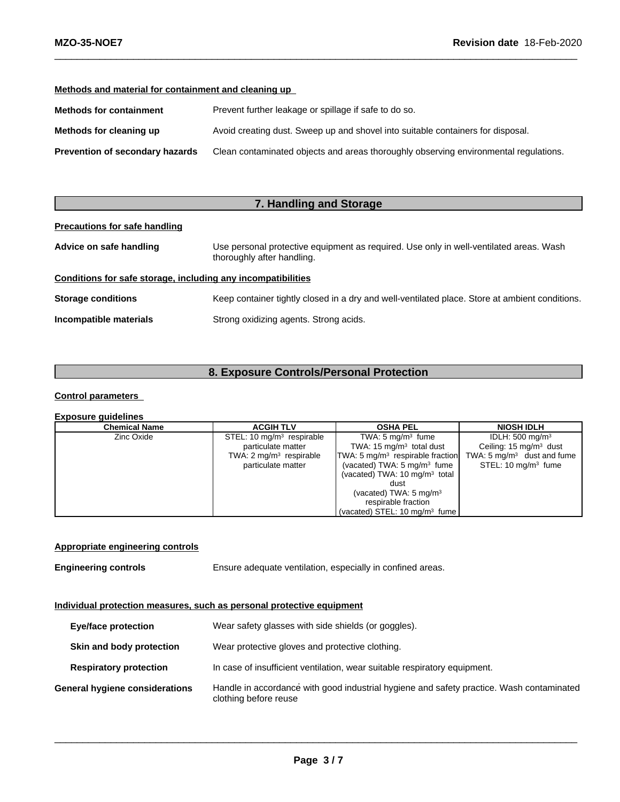# **Methods and material for containment and cleaning up**

| Prevent further leakage or spillage if safe to do so.<br><b>Methods for containment</b> |                                                                                      |
|-----------------------------------------------------------------------------------------|--------------------------------------------------------------------------------------|
| Methods for cleaning up                                                                 | Avoid creating dust. Sweep up and shovel into suitable containers for disposal.      |
| Prevention of secondary hazards                                                         | Clean contaminated objects and areas thoroughly observing environmental regulations. |

# **7. Handling and Storage**

# **Precautions for safe handling**

| Use personal protective equipment as required. Use only in well-ventilated areas. Wash<br>Advice on safe handling<br>thoroughly after handling. |                                                                                                |
|-------------------------------------------------------------------------------------------------------------------------------------------------|------------------------------------------------------------------------------------------------|
| Conditions for safe storage, including any incompatibilities                                                                                    |                                                                                                |
| <b>Storage conditions</b>                                                                                                                       | Keep container tightly closed in a dry and well-ventilated place. Store at ambient conditions. |
| Incompatible materials                                                                                                                          | Strong oxidizing agents. Strong acids.                                                         |

# **8. Exposure Controls/Personal Protection**

# **Control parameters**

### **Exposure guidelines**

| <b>Chemical Name</b> | <b>ACGIH TLV</b>                   | <b>OSHA PEL</b>                          | <b>NIOSH IDLH</b>                     |
|----------------------|------------------------------------|------------------------------------------|---------------------------------------|
| Zinc Oxide           | STEL: 10 $mg/m3$ respirable        | TWA: $5 \text{ mg/m}^3$ fume             | IDLH: $500 \text{ mg/m}^3$            |
|                      | particulate matter                 | TWA: $15 \text{ mg/m}^3$ total dust      | Ceiling: $15 \text{ mg/m}^3$ dust     |
|                      | TWA: $2 \text{ mg/m}^3$ respirable | $TWA: 5 mg/m3$ respirable fraction       | TWA: $5 \text{ mg/m}^3$ dust and fume |
|                      | particulate matter                 | (vacated) TWA: $5 \text{ mg/m}^3$ fume   | STEL: 10 mg/m <sup>3</sup> fume       |
|                      |                                    | (vacated) TWA: $10 \text{ mg/m}^3$ total |                                       |
|                      |                                    | dust                                     |                                       |
|                      |                                    | (vacated) TWA: $5 \text{ mg/m}^3$        |                                       |
|                      |                                    | respirable fraction                      |                                       |
|                      |                                    | (vacated) STEL: 10 $mq/m3$ fume          |                                       |

# **Appropriate engineering controls**

**Engineering controls** Ensure adequate ventilation, especially in confined areas.

# **Individual protection measures, such as personal protective equipment**

| Wear safety glasses with side shields (or goggles).<br><b>Eye/face protection</b> |                                |                                                                                                                   |  |
|-----------------------------------------------------------------------------------|--------------------------------|-------------------------------------------------------------------------------------------------------------------|--|
| Skin and body protection                                                          |                                | Wear protective gloves and protective clothing.                                                                   |  |
| <b>Respiratory protection</b>                                                     |                                | In case of insufficient ventilation, wear suitable respiratory equipment.                                         |  |
|                                                                                   | General hygiene considerations | Handle in accordance with good industrial hygiene and safety practice. Wash contaminated<br>clothing before reuse |  |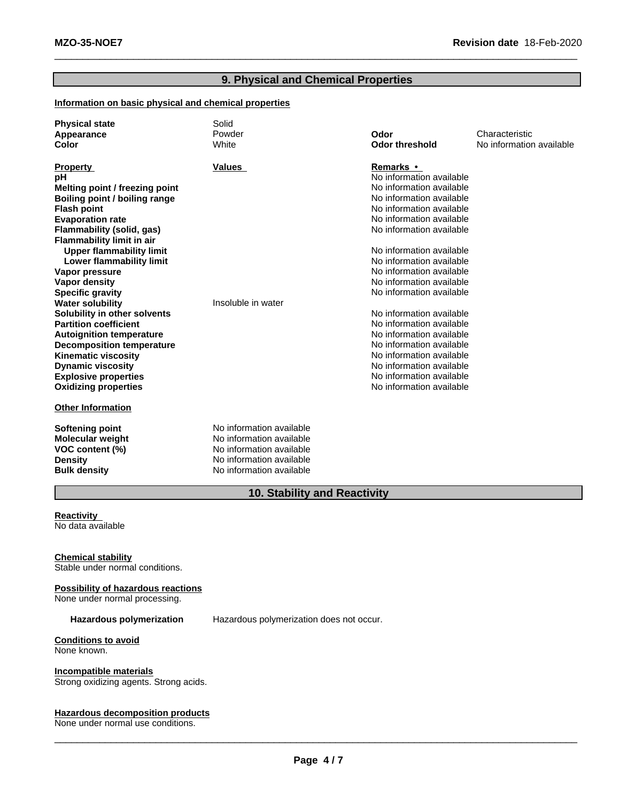# **9. Physical and Chemical Properties**

# **Information on basic physical and chemical properties**

| <b>Physical state</b><br>Appearance | Solid<br>Powder          | Odor                                                 | Characteristic           |
|-------------------------------------|--------------------------|------------------------------------------------------|--------------------------|
| Color                               | White                    | <b>Odor threshold</b>                                | No information available |
| <b>Property</b>                     | <b>Values</b>            | Remarks •                                            |                          |
| рH                                  |                          | No information available                             |                          |
| Melting point / freezing point      |                          | No information available                             |                          |
| Boiling point / boiling range       |                          | No information available                             |                          |
| <b>Flash point</b>                  |                          | No information available                             |                          |
| <b>Evaporation rate</b>             |                          | No information available                             |                          |
| Flammability (solid, gas)           |                          | No information available                             |                          |
| <b>Flammability limit in air</b>    |                          |                                                      |                          |
| <b>Upper flammability limit</b>     |                          | No information available                             |                          |
| Lower flammability limit            |                          | No information available                             |                          |
| Vapor pressure                      |                          | No information available                             |                          |
| Vapor density                       |                          | No information available                             |                          |
| <b>Specific gravity</b>             |                          | No information available                             |                          |
| <b>Water solubility</b>             | Insoluble in water       |                                                      |                          |
| Solubility in other solvents        |                          | No information available                             |                          |
| <b>Partition coefficient</b>        |                          | No information available                             |                          |
| <b>Autoignition temperature</b>     |                          | No information available                             |                          |
| <b>Decomposition temperature</b>    |                          | No information available                             |                          |
| <b>Kinematic viscosity</b>          |                          | No information available                             |                          |
| <b>Dynamic viscosity</b>            |                          | No information available                             |                          |
| <b>Explosive properties</b>         |                          | No information available<br>No information available |                          |
| <b>Oxidizing properties</b>         |                          |                                                      |                          |
| <b>Other Information</b>            |                          |                                                      |                          |
| <b>Softening point</b>              | No information available |                                                      |                          |
| <b>Molecular weight</b>             | No information available |                                                      |                          |
| VOC content (%)                     | No information available |                                                      |                          |
| <b>Density</b>                      | No information available |                                                      |                          |
| <b>Bulk density</b>                 | No information available |                                                      |                          |

# **10. Stability and Reactivity**

### **Reactivity** No data available

# **Chemical stability**

Stable under normal conditions.

# **Possibility of hazardous reactions**

None under normal processing.

**Hazardous polymerization** Hazardous polymerization does not occur.

# **Conditions to avoid**

None known.

# **Incompatible materials**

Strong oxidizing agents. Strong acids.

### **Hazardous decomposition products**

None under normal use conditions.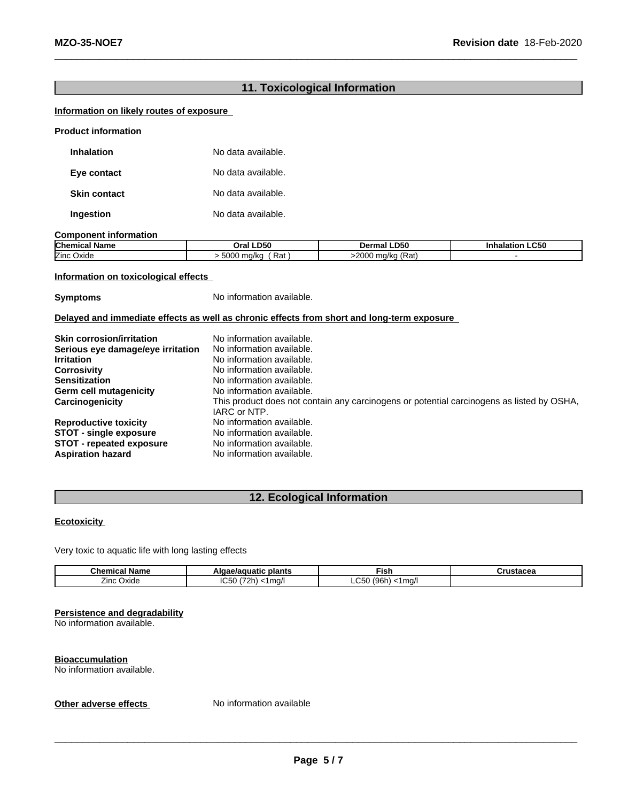# **11. Toxicological Information**

# **Information on likely routes of exposure**

| <b>Product information</b> |  |
|----------------------------|--|
|----------------------------|--|

| Inhalation          | No data available. |
|---------------------|--------------------|
| Eye contact         | No data available. |
| <b>Skin contact</b> | No data available. |
| Ingestion           | No data available. |

### **Component information**

| <b>Chemical Name</b>                   | <b>LD50</b>          | <b>LD50</b>                                       | <b>LC50</b> |
|----------------------------------------|----------------------|---------------------------------------------------|-------------|
|                                        | Oral                 | Dermal                                            | Inhalation  |
| --<br>$\sim$ $\sim$<br>Zinc J<br>Oxide | Rat<br>5000<br>ma/ka | $-2000$<br>ka (Pať)<br>$\sim$<br>. nozka z<br>nau |             |

# **Information on toxicological effects**

**Symptoms** No information available.

### **Delayed and immediate effects as well as chronic effects from short and long-term exposure**

| <b>Skin corrosion/irritation</b>  | No information available.                                                                                 |
|-----------------------------------|-----------------------------------------------------------------------------------------------------------|
| Serious eye damage/eye irritation | No information available.                                                                                 |
| <b>Irritation</b>                 | No information available.                                                                                 |
| <b>Corrosivity</b>                | No information available.                                                                                 |
| <b>Sensitization</b>              | No information available.                                                                                 |
| Germ cell mutagenicity            | No information available.                                                                                 |
| Carcinogenicity                   | This product does not contain any carcinogens or potential carcinogens as listed by OSHA,<br>IARC or NTP. |
| <b>Reproductive toxicity</b>      | No information available.                                                                                 |
| <b>STOT - single exposure</b>     | No information available.                                                                                 |
| <b>STOT - repeated exposure</b>   | No information available.                                                                                 |
| <b>Aspiration hazard</b>          | No information available.                                                                                 |

# **12. Ecological Information**

# **Ecotoxicity**

Very toxic to aquatic life with long lasting effects

| Chem<br>name<br>тн       | plants<br><b>1uatic</b>  | --<br>Fist                                                                         |  |
|--------------------------|--------------------------|------------------------------------------------------------------------------------|--|
| _<br><b>Oxide</b><br>Inc | $\sim$<br>ma<br>.,<br>'' | $\sim$ $\sim$<br>$\sqrt{2}$<br>$\sim$<br>∴чh…<br>$\sim$<br>. <i>ال</i> ـا <i>ا</i> |  |

# **Persistence and degradability**

No information available.

**Bioaccumulation** No information available.

**Other adverse effects** No information available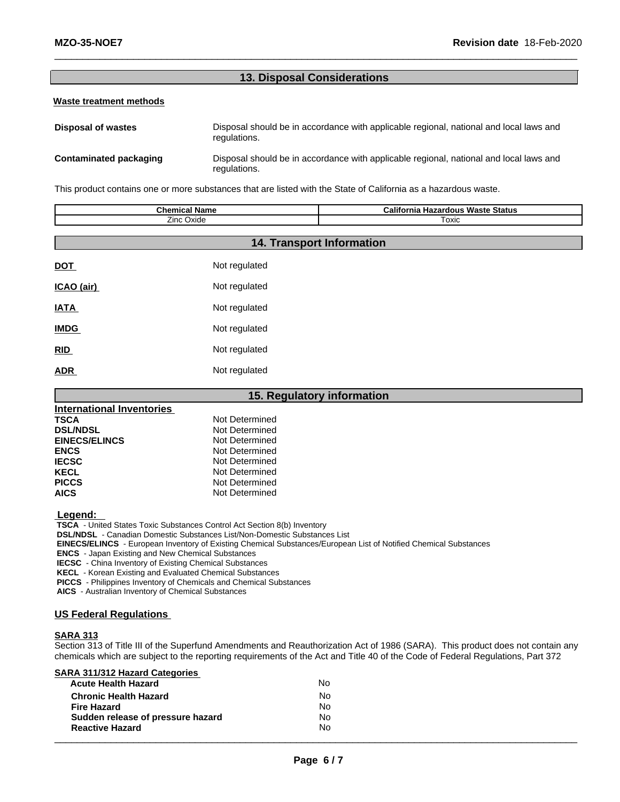# **13. Disposal Considerations**

### **Waste treatment methods**

| Disposal of wastes     | Disposal should be in accordance with applicable regional, national and local laws and<br>regulations. |
|------------------------|--------------------------------------------------------------------------------------------------------|
| Contaminated packaging | Disposal should be in accordance with applicable regional, national and local laws and<br>regulations. |

This product contains one or more substances that are listed with the State of California as a hazardous waste.

| <b>Chemical Name</b><br>Zinc Oxide |               | <b>California Hazardous Waste Status</b><br>Toxic |
|------------------------------------|---------------|---------------------------------------------------|
|                                    |               | <b>14. Transport Information</b>                  |
| <b>DOT</b>                         | Not regulated |                                                   |
| ICAO (air)                         | Not regulated |                                                   |
| <b>IATA</b>                        | Not regulated |                                                   |
| <b>IMDG</b>                        | Not regulated |                                                   |
| <b>RID</b>                         | Not regulated |                                                   |
|                                    |               |                                                   |

**15. Regulatory information**

| <b>19. Requiatory Information</b> |                |  |  |  |
|-----------------------------------|----------------|--|--|--|
| International Inventories         |                |  |  |  |
| <b>TSCA</b>                       | Not Determined |  |  |  |
| <b>DSL/NDSL</b>                   | Not Determined |  |  |  |
| <b>EINECS/ELINCS</b>              | Not Determined |  |  |  |
| <b>ENCS</b>                       | Not Determined |  |  |  |
| <b>IECSC</b>                      | Not Determined |  |  |  |
| <b>KECL</b>                       | Not Determined |  |  |  |
| <b>PICCS</b>                      | Not Determined |  |  |  |
| <b>AICS</b>                       | Not Determined |  |  |  |
|                                   |                |  |  |  |

#### **Legend:**

 **TSCA** - United States Toxic Substances Control Act Section 8(b) Inventory

 **DSL/NDSL** - Canadian Domestic Substances List/Non-Domestic Substances List

 **EINECS/ELINCS** - European Inventory of Existing Chemical Substances/European List of Notified Chemical Substances

 **ENCS** - Japan Existing and New Chemical Substances

**ADR** Not regulated

 **IECSC** - China Inventory of Existing Chemical Substances

 **KECL** - Korean Existing and Evaluated Chemical Substances

 **PICCS** - Philippines Inventory of Chemicals and Chemical Substances

 **AICS** - Australian Inventory of Chemical Substances

# **US Federal Regulations**

### **SARA 313**

Section 313 of Title III of the Superfund Amendments and Reauthorization Act of 1986 (SARA). This product does not contain any chemicals which are subject to the reporting requirements of the Act and Title 40 of the Code of Federal Regulations, Part 372

**SARA 311/312 Hazard Categories**

| <b>Acute Health Hazard</b>        | No |  |
|-----------------------------------|----|--|
| <b>Chronic Health Hazard</b>      | No |  |
| <b>Fire Hazard</b>                | No |  |
| Sudden release of pressure hazard | No |  |
| <b>Reactive Hazard</b>            | No |  |
|                                   |    |  |